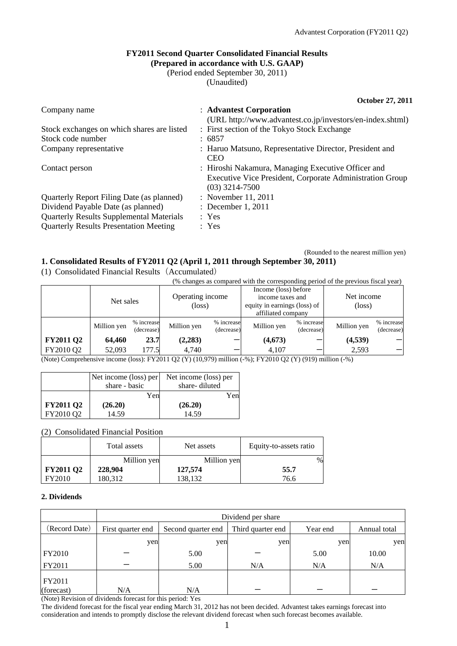### **FY2011 Second Quarter Consolidated Financial Results (Prepared in accordance with U.S. GAAP)**

(Period ended September 30, 2011)

(Unaudited)

**October 27, 2011** 

| Company name                                                    | : Advantest Corporation<br>(URL http://www.advantest.co.jp/investors/en-index.shtml)                                               |
|-----------------------------------------------------------------|------------------------------------------------------------------------------------------------------------------------------------|
| Stock exchanges on which shares are listed<br>Stock code number | : First section of the Tokyo Stock Exchange<br>: 6857                                                                              |
| Company representative                                          | : Haruo Matsuno, Representative Director, President and<br><b>CEO</b>                                                              |
| Contact person                                                  | : Hiroshi Nakamura, Managing Executive Officer and<br>Executive Vice President, Corporate Administration Group<br>$(03)$ 3214-7500 |
| Quarterly Report Filing Date (as planned)                       | : November 11, 2011                                                                                                                |
| Dividend Payable Date (as planned)                              | : December 1, 2011                                                                                                                 |
| <b>Quarterly Results Supplemental Materials</b>                 | : Yes                                                                                                                              |
| <b>Quarterly Results Presentation Meeting</b>                   | : Yes                                                                                                                              |

(Rounded to the nearest million yen)

#### **1. Consolidated Results of FY2011 Q2 (April 1, 2011 through September 30, 2011)**

|                  | (% changes as compared with the corresponding period of the previous fiscal year) |                          |                                     |                          |                                                                                                |                          |                               |                          |
|------------------|-----------------------------------------------------------------------------------|--------------------------|-------------------------------------|--------------------------|------------------------------------------------------------------------------------------------|--------------------------|-------------------------------|--------------------------|
|                  | Net sales                                                                         |                          | Operating income<br>$(\text{loss})$ |                          | Income (loss) before<br>income taxes and<br>equity in earnings (loss) of<br>affiliated company |                          | Net income<br>$(\text{loss})$ |                          |
|                  | Million yen                                                                       | % increase<br>(decrease) | Million yen                         | % increase<br>(decrease) | Million yen                                                                                    | % increase<br>(decrease) | Million yen                   | % increase<br>(decrease) |
| <b>FY2011 Q2</b> | 64,460                                                                            | 23.7                     | (2,283)                             |                          | (4, 673)                                                                                       |                          | (4,539)                       |                          |
| FY2010 Q2        | 52,093                                                                            | 177.5                    | 4.740                               |                          | 4.107                                                                                          |                          | 2.593                         |                          |

(Note) Comprehensive income (loss): FY2011 Q2 (Y) (10,979) million (-%); FY2010 Q2 (Y) (919) million (-%)

|                  | Net income (loss) per |     | Net income (loss) per |     |  |
|------------------|-----------------------|-----|-----------------------|-----|--|
|                  | share - basic         |     | share-diluted         |     |  |
|                  |                       | Yen |                       | Yen |  |
| <b>FY2011 Q2</b> | (26.20)               |     | (26.20)               |     |  |
| FY2010 Q2        | 14.59                 |     | 14.59                 |     |  |

(1) Consolidated Financial Results(Accumulated)

(2) Consolidated Financial Position

|                  | Total assets | Net assets  | Equity-to-assets ratio |
|------------------|--------------|-------------|------------------------|
|                  | Million yen  | Million yen | $\%$                   |
| <b>FY2011 Q2</b> | 228,904      | 127,574     | 55.7                   |
| FY2010           | 180,312      | 138,132     | 76.6                   |

#### **2. Dividends**

|                      | Dividend per share |                    |                   |          |              |  |  |
|----------------------|--------------------|--------------------|-------------------|----------|--------------|--|--|
| (Record Date)        | First quarter end  | Second quarter end | Third quarter end | Year end | Annual total |  |  |
|                      | yen                | yen                | yen               | yen      | yen          |  |  |
| FY2010               |                    | 5.00               |                   | 5.00     | 10.00        |  |  |
| FY2011               |                    | 5.00               | N/A               | N/A      | N/A          |  |  |
| FY2011<br>(forecast) | N/A                | N/A                |                   |          |              |  |  |

(Note) Revision of dividends forecast for this period: Yes

The dividend forecast for the fiscal year ending March 31, 2012 has not been decided. Advantest takes earnings forecast into consideration and intends to promptly disclose the relevant dividend forecast when such forecast becomes available.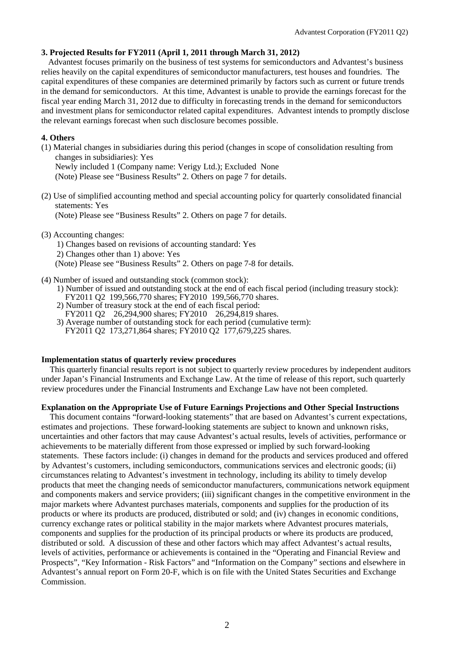### **3. Projected Results for FY2011 (April 1, 2011 through March 31, 2012)**

Advantest focuses primarily on the business of test systems for semiconductors and Advantest's business relies heavily on the capital expenditures of semiconductor manufacturers, test houses and foundries. The capital expenditures of these companies are determined primarily by factors such as current or future trends in the demand for semiconductors. At this time, Advantest is unable to provide the earnings forecast for the fiscal year ending March 31, 2012 due to difficulty in forecasting trends in the demand for semiconductors and investment plans for semiconductor related capital expenditures. Advantest intends to promptly disclose the relevant earnings forecast when such disclosure becomes possible.

### **4. Others**

(1) Material changes in subsidiaries during this period (changes in scope of consolidation resulting from changes in subsidiaries): Yes

Newly included 1 (Company name: Verigy Ltd.); Excluded None

(Note) Please see "Business Results" 2. Others on page 7 for details.

(2) Use of simplified accounting method and special accounting policy for quarterly consolidated financial statements: Yes

(Note) Please see "Business Results" 2. Others on page 7 for details.

### (3) Accounting changes:

1) Changes based on revisions of accounting standard: Yes

2) Changes other than 1) above: Yes

(Note) Please see "Business Results" 2. Others on page 7-8 for details.

- (4) Number of issued and outstanding stock (common stock):
	- 1) Number of issued and outstanding stock at the end of each fiscal period (including treasury stock): FY2011 Q2 199,566,770 shares; FY2010 199,566,770 shares.
	- 2) Number of treasury stock at the end of each fiscal period:
	- FY2011 Q2 26,294,900 shares; FY2010 26,294,819 shares.
	- 3) Average number of outstanding stock for each period (cumulative term): FY2011 Q2 173,271,864 shares; FY2010 Q2 177,679,225 shares.

### **Implementation status of quarterly review procedures**

This quarterly financial results report is not subject to quarterly review procedures by independent auditors under Japan's Financial Instruments and Exchange Law. At the time of release of this report, such quarterly review procedures under the Financial Instruments and Exchange Law have not been completed.

### **Explanation on the Appropriate Use of Future Earnings Projections and Other Special Instructions**

This document contains "forward-looking statements" that are based on Advantest's current expectations, estimates and projections. These forward-looking statements are subject to known and unknown risks, uncertainties and other factors that may cause Advantest's actual results, levels of activities, performance or achievements to be materially different from those expressed or implied by such forward-looking statements. These factors include: (i) changes in demand for the products and services produced and offered by Advantest's customers, including semiconductors, communications services and electronic goods; (ii) circumstances relating to Advantest's investment in technology, including its ability to timely develop products that meet the changing needs of semiconductor manufacturers, communications network equipment and components makers and service providers; (iii) significant changes in the competitive environment in the major markets where Advantest purchases materials, components and supplies for the production of its products or where its products are produced, distributed or sold; and (iv) changes in economic conditions, currency exchange rates or political stability in the major markets where Advantest procures materials, components and supplies for the production of its principal products or where its products are produced, distributed or sold. A discussion of these and other factors which may affect Advantest's actual results, levels of activities, performance or achievements is contained in the "Operating and Financial Review and Prospects", "Key Information - Risk Factors" and "Information on the Company" sections and elsewhere in Advantest's annual report on Form 20-F, which is on file with the United States Securities and Exchange Commission.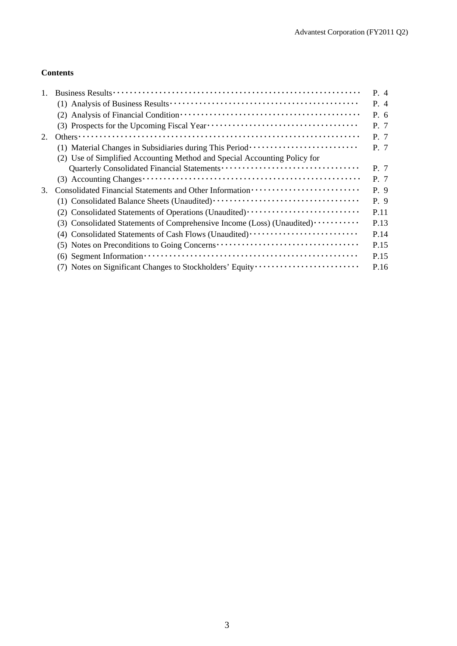### **Contents**

|    |                                                                                                                                       | P. 4  |
|----|---------------------------------------------------------------------------------------------------------------------------------------|-------|
|    |                                                                                                                                       | $P_4$ |
|    | (2)                                                                                                                                   | P. 6  |
|    |                                                                                                                                       | P. 7  |
| 2. |                                                                                                                                       | P. 7  |
|    | (1) Material Changes in Subsidiaries during This Period ·························                                                     | P. 7  |
|    | (2) Use of Simplified Accounting Method and Special Accounting Policy for                                                             |       |
|    |                                                                                                                                       | P. 7  |
|    |                                                                                                                                       | P. 7  |
| 3. |                                                                                                                                       | P. 9  |
|    |                                                                                                                                       | P. 9  |
|    | (2) Consolidated Statements of Operations (Unaudited)                                                                                 | P.11  |
|    | (3) Consolidated Statements of Comprehensive Income (Loss) (Unaudited)                                                                | P.13  |
|    | (4) Consolidated Statements of Cash Flows (Unaudited)                                                                                 | P.14  |
|    | (5) Notes on Preconditions to Going Concerns ···································                                                      | P.15  |
|    | $(6)$ Segment Information $\cdots$ $\cdots$ $\cdots$ $\cdots$ $\cdots$ $\cdots$ $\cdots$ $\cdots$ $\cdots$ $\cdots$ $\cdots$ $\cdots$ | P.15  |
|    | (7) Notes on Significant Changes to Stockholders' Equity                                                                              | P.16  |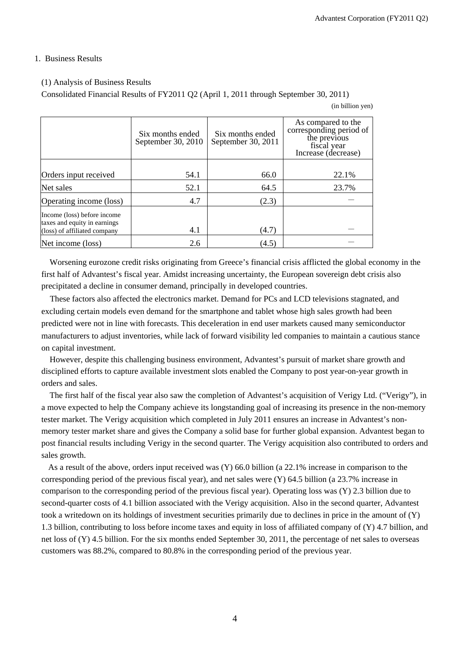#### 1. Business Results

#### (1) Analysis of Business Results

Consolidated Financial Results of FY2011 Q2 (April 1, 2011 through September 30, 2011)

(in billion yen)

|                                                             | Six months ended<br>September 30, 2010 | Six months ended<br>September 30, 2011 | As compared to the<br>corresponding period of<br>the previous<br>fiscal year<br>Increase (decrease) |
|-------------------------------------------------------------|----------------------------------------|----------------------------------------|-----------------------------------------------------------------------------------------------------|
|                                                             |                                        |                                        |                                                                                                     |
| Orders input received                                       | 54.1                                   | 66.0                                   | 22.1%                                                                                               |
| Net sales                                                   | 52.1                                   | 64.5                                   | 23.7%                                                                                               |
| Operating income (loss)                                     | 4.7                                    | (2.3)                                  |                                                                                                     |
| Income (loss) before income<br>taxes and equity in earnings |                                        |                                        |                                                                                                     |
| (loss) of affiliated company                                | 4.1                                    | (4.7)                                  |                                                                                                     |
| Net income (loss)                                           | 2.6                                    | (4.5)                                  |                                                                                                     |

Worsening eurozone credit risks originating from Greece's financial crisis afflicted the global economy in the first half of Advantest's fiscal year. Amidst increasing uncertainty, the European sovereign debt crisis also precipitated a decline in consumer demand, principally in developed countries.

These factors also affected the electronics market. Demand for PCs and LCD televisions stagnated, and excluding certain models even demand for the smartphone and tablet whose high sales growth had been predicted were not in line with forecasts. This deceleration in end user markets caused many semiconductor manufacturers to adjust inventories, while lack of forward visibility led companies to maintain a cautious stance on capital investment.

However, despite this challenging business environment, Advantest's pursuit of market share growth and disciplined efforts to capture available investment slots enabled the Company to post year-on-year growth in orders and sales.

The first half of the fiscal year also saw the completion of Advantest's acquisition of Verigy Ltd. ("Verigy"), in a move expected to help the Company achieve its longstanding goal of increasing its presence in the non-memory tester market. The Verigy acquisition which completed in July 2011 ensures an increase in Advantest's nonmemory tester market share and gives the Company a solid base for further global expansion. Advantest began to post financial results including Verigy in the second quarter. The Verigy acquisition also contributed to orders and sales growth.

As a result of the above, orders input received was (Y) 66.0 billion (a 22.1% increase in comparison to the corresponding period of the previous fiscal year), and net sales were (Y) 64.5 billion (a 23.7% increase in comparison to the corresponding period of the previous fiscal year). Operating loss was (Y) 2.3 billion due to second-quarter costs of 4.1 billion associated with the Verigy acquisition. Also in the second quarter, Advantest took a writedown on its holdings of investment securities primarily due to declines in price in the amount of (Y) 1.3 billion, contributing to loss before income taxes and equity in loss of affiliated company of (Y) 4.7 billion, and net loss of (Y) 4.5 billion. For the six months ended September 30, 2011, the percentage of net sales to overseas customers was 88.2%, compared to 80.8% in the corresponding period of the previous year.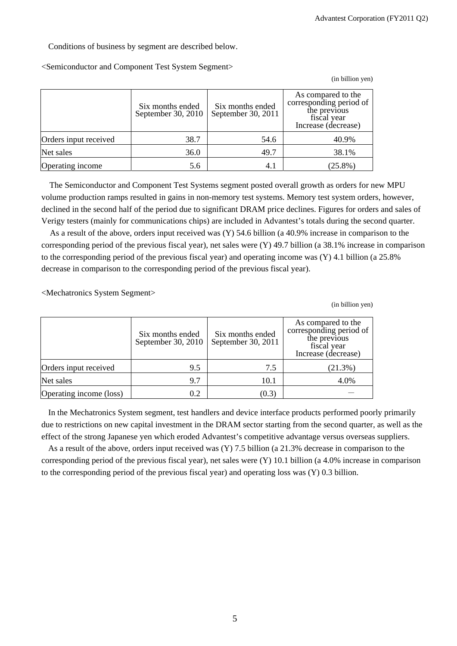Conditions of business by segment are described below.

<Semiconductor and Component Test System Segment>

(in billion yen)

|                       | Six months ended<br>September 30, 2010 | Six months ended<br>September 30, 2011 | As compared to the<br>corresponding period of<br>the previous<br>fiscal year<br>Increase (decrease) |
|-----------------------|----------------------------------------|----------------------------------------|-----------------------------------------------------------------------------------------------------|
| Orders input received | 38.7                                   | 54.6                                   | 40.9%                                                                                               |
| Net sales             | 36.0                                   | 49.7                                   | 38.1%                                                                                               |
| Operating income      | 5.6                                    | 4.1                                    | $(25.8\%)$                                                                                          |

The Semiconductor and Component Test Systems segment posted overall growth as orders for new MPU volume production ramps resulted in gains in non-memory test systems. Memory test system orders, however, declined in the second half of the period due to significant DRAM price declines. Figures for orders and sales of Verigy testers (mainly for communications chips) are included in Advantest's totals during the second quarter.

As a result of the above, orders input received was (Y) 54.6 billion (a 40.9% increase in comparison to the corresponding period of the previous fiscal year), net sales were (Y) 49.7 billion (a 38.1% increase in comparison to the corresponding period of the previous fiscal year) and operating income was (Y) 4.1 billion (a 25.8% decrease in comparison to the corresponding period of the previous fiscal year).

<Mechatronics System Segment>

(in billion yen)

|                         | Six months ended<br>September 30, 2010 | Six months ended<br>September 30, 2011 | As compared to the<br>corresponding period of<br>the previous<br>fiscal year<br>Increase (decrease) |
|-------------------------|----------------------------------------|----------------------------------------|-----------------------------------------------------------------------------------------------------|
| Orders input received   | 9.5                                    | 7.5                                    | (21.3%)                                                                                             |
| Net sales               | 9.7                                    | 10.1                                   | 4.0%                                                                                                |
| Operating income (loss) | 0.2                                    | (0.3)                                  |                                                                                                     |

In the Mechatronics System segment, test handlers and device interface products performed poorly primarily due to restrictions on new capital investment in the DRAM sector starting from the second quarter, as well as the effect of the strong Japanese yen which eroded Advantest's competitive advantage versus overseas suppliers.

As a result of the above, orders input received was (Y) 7.5 billion (a 21.3% decrease in comparison to the corresponding period of the previous fiscal year), net sales were  $(Y)$  10.1 billion (a 4.0% increase in comparison to the corresponding period of the previous fiscal year) and operating loss was  $(Y)$  0.3 billion.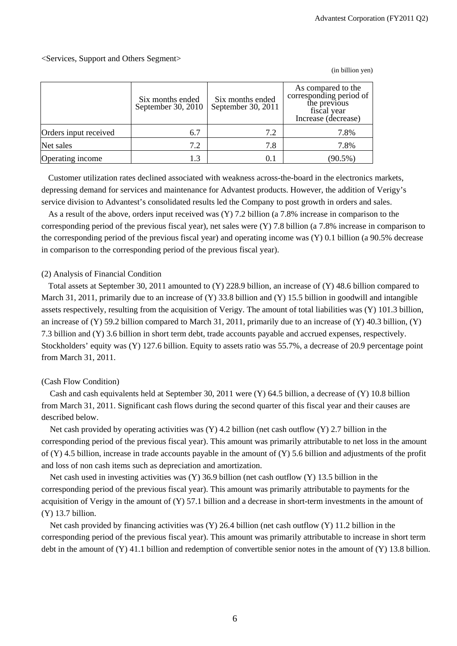(in billion yen)

### <Services, Support and Others Segment>

|                       | Six months ended<br>September 30, 2010 | Six months ended<br>September 30, 2011 | As compared to the<br>corresponding period of<br>the previous<br>fiscal year<br>Increase (decrease) |
|-----------------------|----------------------------------------|----------------------------------------|-----------------------------------------------------------------------------------------------------|
| Orders input received | 6.7                                    | 7.2                                    | 7.8%                                                                                                |
| Net sales             | 7.2                                    | 7.8                                    | 7.8%                                                                                                |
| Operating income      | 1.3                                    | 0.1                                    | $(90.5\%)$                                                                                          |

Customer utilization rates declined associated with weakness across-the-board in the electronics markets, depressing demand for services and maintenance for Advantest products. However, the addition of Verigy's service division to Advantest's consolidated results led the Company to post growth in orders and sales.

As a result of the above, orders input received was (Y) 7.2 billion (a 7.8% increase in comparison to the corresponding period of the previous fiscal year), net sales were (Y) 7.8 billion (a 7.8% increase in comparison to the corresponding period of the previous fiscal year) and operating income was (Y) 0.1 billion (a 90.5% decrease in comparison to the corresponding period of the previous fiscal year).

### (2) Analysis of Financial Condition

Total assets at September 30, 2011 amounted to (Y) 228.9 billion, an increase of (Y) 48.6 billion compared to March 31, 2011, primarily due to an increase of (Y) 33.8 billion and (Y) 15.5 billion in goodwill and intangible assets respectively, resulting from the acquisition of Verigy. The amount of total liabilities was (Y) 101.3 billion, an increase of  $(Y)$  59.2 billion compared to March 31, 2011, primarily due to an increase of  $(Y)$  40.3 billion,  $(Y)$ 7.3 billion and (Y) 3.6 billion in short term debt, trade accounts payable and accrued expenses, respectively. Stockholders' equity was (Y) 127.6 billion. Equity to assets ratio was 55.7%, a decrease of 20.9 percentage point from March 31, 2011.

### (Cash Flow Condition)

Cash and cash equivalents held at September 30, 2011 were (Y) 64.5 billion, a decrease of (Y) 10.8 billion from March 31, 2011. Significant cash flows during the second quarter of this fiscal year and their causes are described below.

Net cash provided by operating activities was  $(Y)$  4.2 billion (net cash outflow  $(Y)$  2.7 billion in the corresponding period of the previous fiscal year). This amount was primarily attributable to net loss in the amount of  $(Y)$  4.5 billion, increase in trade accounts payable in the amount of  $(Y)$  5.6 billion and adjustments of the profit and loss of non cash items such as depreciation and amortization.

Net cash used in investing activities was (Y) 36.9 billion (net cash outflow (Y) 13.5 billion in the corresponding period of the previous fiscal year). This amount was primarily attributable to payments for the acquisition of Verigy in the amount of  $(Y)$  57.1 billion and a decrease in short-term investments in the amount of (Y) 13.7 billion.

Net cash provided by financing activities was  $(Y)$  26.4 billion (net cash outflow  $(Y)$  11.2 billion in the corresponding period of the previous fiscal year). This amount was primarily attributable to increase in short term debt in the amount of (Y) 41.1 billion and redemption of convertible senior notes in the amount of (Y) 13.8 billion.

6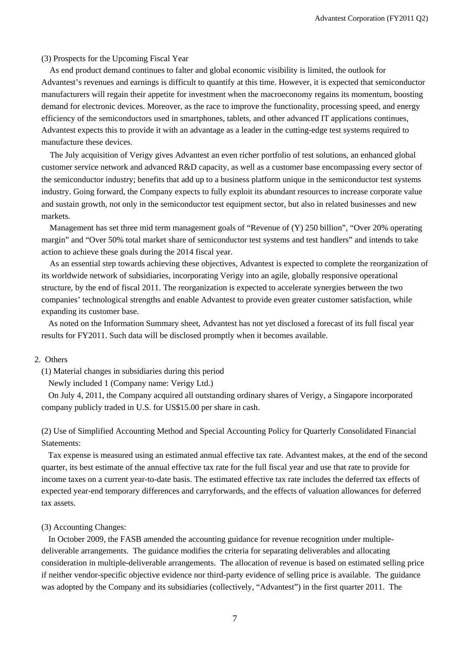#### (3) Prospects for the Upcoming Fiscal Year

As end product demand continues to falter and global economic visibility is limited, the outlook for Advantest's revenues and earnings is difficult to quantify at this time. However, it is expected that semiconductor manufacturers will regain their appetite for investment when the macroeconomy regains its momentum, boosting demand for electronic devices. Moreover, as the race to improve the functionality, processing speed, and energy efficiency of the semiconductors used in smartphones, tablets, and other advanced IT applications continues, Advantest expects this to provide it with an advantage as a leader in the cutting-edge test systems required to manufacture these devices.

The July acquisition of Verigy gives Advantest an even richer portfolio of test solutions, an enhanced global customer service network and advanced R&D capacity, as well as a customer base encompassing every sector of the semiconductor industry; benefits that add up to a business platform unique in the semiconductor test systems industry. Going forward, the Company expects to fully exploit its abundant resources to increase corporate value and sustain growth, not only in the semiconductor test equipment sector, but also in related businesses and new markets.

Management has set three mid term management goals of "Revenue of (Y) 250 billion", "Over 20% operating margin" and "Over 50% total market share of semiconductor test systems and test handlers" and intends to take action to achieve these goals during the 2014 fiscal year.

As an essential step towards achieving these objectives, Advantest is expected to complete the reorganization of its worldwide network of subsidiaries, incorporating Verigy into an agile, globally responsive operational structure, by the end of fiscal 2011. The reorganization is expected to accelerate synergies between the two companies' technological strengths and enable Advantest to provide even greater customer satisfaction, while expanding its customer base.

As noted on the Information Summary sheet, Advantest has not yet disclosed a forecast of its full fiscal year results for FY2011. Such data will be disclosed promptly when it becomes available.

#### 2. Others

(1) Material changes in subsidiaries during this period

Newly included 1 (Company name: Verigy Ltd.)

On July 4, 2011, the Company acquired all outstanding ordinary shares of Verigy, a Singapore incorporated company publicly traded in U.S. for US\$15.00 per share in cash.

(2) Use of Simplified Accounting Method and Special Accounting Policy for Quarterly Consolidated Financial Statements:

Tax expense is measured using an estimated annual effective tax rate. Advantest makes, at the end of the second quarter, its best estimate of the annual effective tax rate for the full fiscal year and use that rate to provide for income taxes on a current year-to-date basis. The estimated effective tax rate includes the deferred tax effects of expected year-end temporary differences and carryforwards, and the effects of valuation allowances for deferred tax assets.

#### (3) Accounting Changes:

In October 2009, the FASB amended the accounting guidance for revenue recognition under multipledeliverable arrangements. The guidance modifies the criteria for separating deliverables and allocating consideration in multiple-deliverable arrangements. The allocation of revenue is based on estimated selling price if neither vendor-specific objective evidence nor third-party evidence of selling price is available. The guidance was adopted by the Company and its subsidiaries (collectively, "Advantest") in the first quarter 2011. The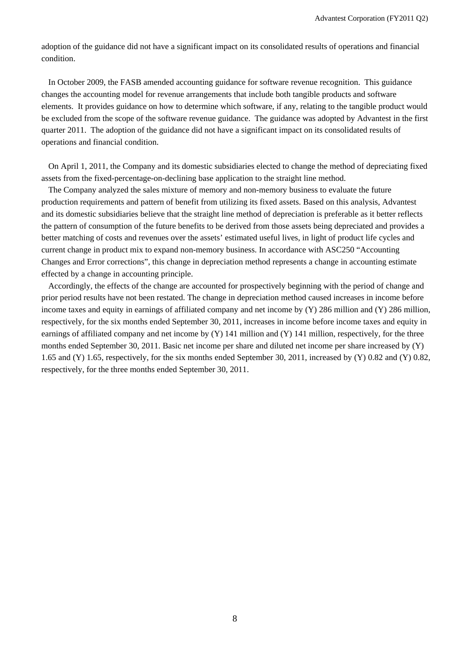adoption of the guidance did not have a significant impact on its consolidated results of operations and financial condition.

In October 2009, the FASB amended accounting guidance for software revenue recognition. This guidance changes the accounting model for revenue arrangements that include both tangible products and software elements. It provides guidance on how to determine which software, if any, relating to the tangible product would be excluded from the scope of the software revenue guidance. The guidance was adopted by Advantest in the first quarter 2011. The adoption of the guidance did not have a significant impact on its consolidated results of operations and financial condition.

On April 1, 2011, the Company and its domestic subsidiaries elected to change the method of depreciating fixed assets from the fixed-percentage-on-declining base application to the straight line method.

The Company analyzed the sales mixture of memory and non-memory business to evaluate the future production requirements and pattern of benefit from utilizing its fixed assets. Based on this analysis, Advantest and its domestic subsidiaries believe that the straight line method of depreciation is preferable as it better reflects the pattern of consumption of the future benefits to be derived from those assets being depreciated and provides a better matching of costs and revenues over the assets' estimated useful lives, in light of product life cycles and current change in product mix to expand non-memory business. In accordance with ASC250 "Accounting Changes and Error corrections", this change in depreciation method represents a change in accounting estimate effected by a change in accounting principle.

Accordingly, the effects of the change are accounted for prospectively beginning with the period of change and prior period results have not been restated. The change in depreciation method caused increases in income before income taxes and equity in earnings of affiliated company and net income by (Y) 286 million and (Y) 286 million, respectively, for the six months ended September 30, 2011, increases in income before income taxes and equity in earnings of affiliated company and net income by  $(Y)$  141 million and  $(Y)$  141 million, respectively, for the three months ended September 30, 2011. Basic net income per share and diluted net income per share increased by (Y) 1.65 and (Y) 1.65, respectively, for the six months ended September 30, 2011, increased by (Y) 0.82 and (Y) 0.82, respectively, for the three months ended September 30, 2011.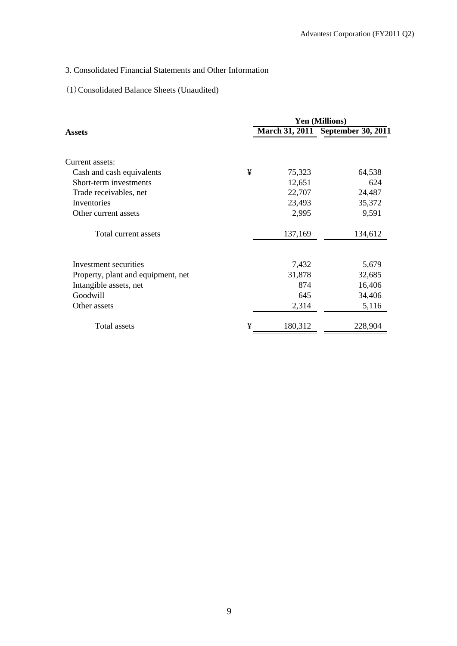# 3. Consolidated Financial Statements and Other Information

# (1)Consolidated Balance Sheets (Unaudited)

|                                    |   | <b>Yen (Millions)</b> |                                   |  |
|------------------------------------|---|-----------------------|-----------------------------------|--|
| <b>Assets</b>                      |   |                       | March 31, 2011 September 30, 2011 |  |
| Current assets:                    |   |                       |                                   |  |
| Cash and cash equivalents          | ¥ | 75,323                | 64,538                            |  |
| Short-term investments             |   | 12,651                | 624                               |  |
| Trade receivables, net             |   | 22,707                | 24,487                            |  |
| Inventories                        |   | 23,493                | 35,372                            |  |
| Other current assets               |   | 2,995                 | 9,591                             |  |
| Total current assets               |   | 137,169               | 134,612                           |  |
| Investment securities              |   | 7,432                 | 5,679                             |  |
| Property, plant and equipment, net |   | 31,878                | 32,685                            |  |
| Intangible assets, net             |   | 874                   | 16,406                            |  |
| Goodwill                           |   | 645                   | 34,406                            |  |
| Other assets                       |   | 2,314                 | 5,116                             |  |
| Total assets                       | ¥ | 180,312               | 228,904                           |  |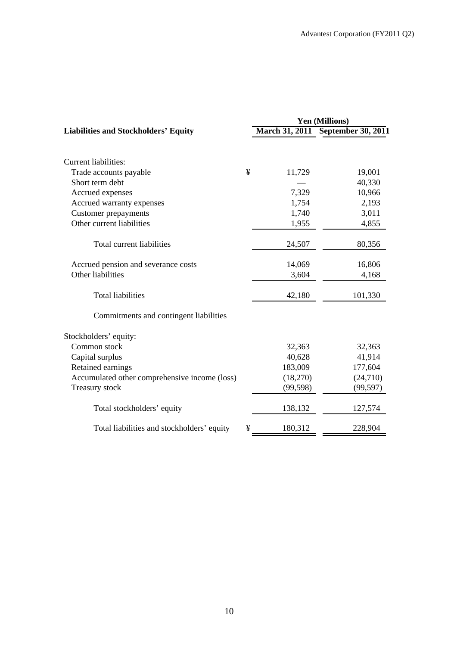|                                               |   | <b>Yen (Millions)</b> |                                   |  |  |
|-----------------------------------------------|---|-----------------------|-----------------------------------|--|--|
| <b>Liabilities and Stockholders' Equity</b>   |   |                       | March 31, 2011 September 30, 2011 |  |  |
|                                               |   |                       |                                   |  |  |
| <b>Current liabilities:</b>                   |   |                       |                                   |  |  |
| Trade accounts payable                        | ¥ | 11,729                | 19,001                            |  |  |
| Short term debt                               |   |                       | 40,330                            |  |  |
| Accrued expenses                              |   | 7,329                 | 10,966                            |  |  |
| Accrued warranty expenses                     |   | 1,754                 | 2,193                             |  |  |
| <b>Customer</b> prepayments                   |   | 1,740                 | 3,011                             |  |  |
| Other current liabilities                     |   | 1,955                 | 4,855                             |  |  |
| Total current liabilities                     |   | 24,507                | 80,356                            |  |  |
| Accrued pension and severance costs           |   | 14,069                | 16,806                            |  |  |
| Other liabilities                             |   | 3,604                 | 4,168                             |  |  |
| <b>Total liabilities</b>                      |   | 42,180                | 101,330                           |  |  |
| Commitments and contingent liabilities        |   |                       |                                   |  |  |
| Stockholders' equity:                         |   |                       |                                   |  |  |
| Common stock                                  |   | 32,363                | 32,363                            |  |  |
| Capital surplus                               |   | 40,628                | 41,914                            |  |  |
| Retained earnings                             |   | 183,009               | 177,604                           |  |  |
| Accumulated other comprehensive income (loss) |   | (18,270)              | (24,710)                          |  |  |
| Treasury stock                                |   | (99, 598)             | (99, 597)                         |  |  |
| Total stockholders' equity                    |   | 138,132               | 127,574                           |  |  |
| Total liabilities and stockholders' equity    | ¥ | 180,312               | 228,904                           |  |  |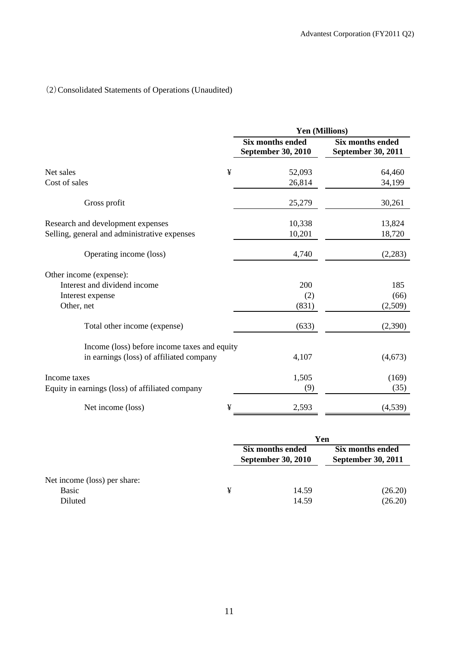# (2)Consolidated Statements of Operations (Unaudited)

|                                                 | Yen (Millions)                                |                                               |  |  |
|-------------------------------------------------|-----------------------------------------------|-----------------------------------------------|--|--|
|                                                 | <b>Six months ended</b><br>September 30, 2010 | <b>Six months ended</b><br>September 30, 2011 |  |  |
| ¥<br>Net sales                                  | 52,093                                        | 64,460                                        |  |  |
| Cost of sales                                   | 26,814                                        | 34,199                                        |  |  |
| Gross profit                                    | 25,279                                        | 30,261                                        |  |  |
| Research and development expenses               | 10,338                                        | 13,824                                        |  |  |
| Selling, general and administrative expenses    | 10,201                                        | 18,720                                        |  |  |
| Operating income (loss)                         | 4,740                                         | (2,283)                                       |  |  |
| Other income (expense):                         |                                               |                                               |  |  |
| Interest and dividend income                    | 200                                           | 185                                           |  |  |
| Interest expense                                | (2)                                           | (66)                                          |  |  |
| Other, net                                      | (831)                                         | (2,509)                                       |  |  |
| Total other income (expense)                    | (633)                                         | (2,390)                                       |  |  |
| Income (loss) before income taxes and equity    |                                               |                                               |  |  |
| in earnings (loss) of affiliated company        | 4,107                                         | (4,673)                                       |  |  |
| Income taxes                                    | 1,505                                         | (169)                                         |  |  |
| Equity in earnings (loss) of affiliated company | (9)                                           | (35)                                          |  |  |
| Net income (loss)<br>¥                          | 2,593                                         | (4,539)                                       |  |  |

|                                                         |   | Yen                                           |                                               |  |  |
|---------------------------------------------------------|---|-----------------------------------------------|-----------------------------------------------|--|--|
|                                                         |   | Six months ended<br><b>September 30, 2010</b> | Six months ended<br><b>September 30, 2011</b> |  |  |
| Net income (loss) per share:<br><b>Basic</b><br>Diluted | ¥ | 14.59<br>14.59                                | (26.20)<br>(26.20)                            |  |  |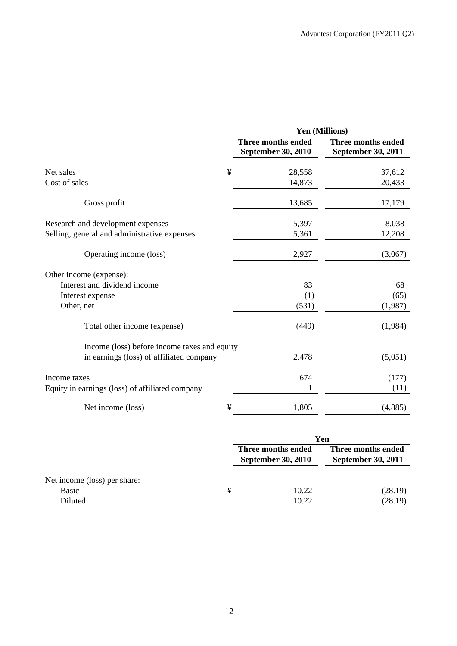|                                                 | Yen (Millions)                           |                                          |  |  |
|-------------------------------------------------|------------------------------------------|------------------------------------------|--|--|
|                                                 | Three months ended<br>September 30, 2010 | Three months ended<br>September 30, 2011 |  |  |
| ¥<br>Net sales                                  | 28,558                                   | 37,612                                   |  |  |
| Cost of sales                                   | 14,873                                   | 20,433                                   |  |  |
| Gross profit                                    | 13,685                                   | 17,179                                   |  |  |
| Research and development expenses               | 5,397                                    | 8,038                                    |  |  |
| Selling, general and administrative expenses    | 5,361                                    | 12,208                                   |  |  |
| Operating income (loss)                         | 2,927                                    | (3,067)                                  |  |  |
| Other income (expense):                         |                                          |                                          |  |  |
| Interest and dividend income                    | 83                                       | 68                                       |  |  |
| Interest expense                                | (1)                                      | (65)                                     |  |  |
| Other, net                                      | (531)                                    | (1,987)                                  |  |  |
| Total other income (expense)                    | (449)                                    | (1,984)                                  |  |  |
| Income (loss) before income taxes and equity    |                                          |                                          |  |  |
| in earnings (loss) of affiliated company        | 2,478                                    | (5,051)                                  |  |  |
| Income taxes                                    | 674                                      | (177)                                    |  |  |
| Equity in earnings (loss) of affiliated company | 1                                        | (11)                                     |  |  |
| ¥<br>Net income (loss)                          | 1,805                                    | (4,885)                                  |  |  |

|                                                  |   | Yen                                             |                                                 |  |  |
|--------------------------------------------------|---|-------------------------------------------------|-------------------------------------------------|--|--|
|                                                  |   | Three months ended<br><b>September 30, 2010</b> | Three months ended<br><b>September 30, 2011</b> |  |  |
| Net income (loss) per share:<br>Basic<br>Diluted | ¥ | 10.22<br>10.22                                  | (28.19)<br>(28.19)                              |  |  |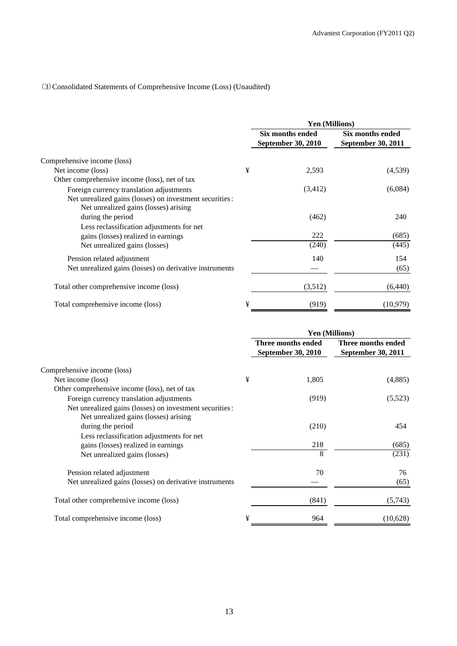## (3)Consolidated Statements of Comprehensive Income (Loss) (Unaudited)

|                                                                                                  |   | Yen (Millions)                                |                                               |  |
|--------------------------------------------------------------------------------------------------|---|-----------------------------------------------|-----------------------------------------------|--|
|                                                                                                  |   | Six months ended<br><b>September 30, 2010</b> | Six months ended<br><b>September 30, 2011</b> |  |
| Comprehensive income (loss)                                                                      |   |                                               |                                               |  |
| Net income (loss)                                                                                | ¥ | 2,593                                         | (4,539)                                       |  |
| Other comprehensive income (loss), net of tax                                                    |   |                                               |                                               |  |
| Foreign currency translation adjustments                                                         |   | (3,412)                                       | (6,084)                                       |  |
| Net unrealized gains (losses) on investment securities:<br>Net unrealized gains (losses) arising |   |                                               |                                               |  |
| during the period                                                                                |   | (462)                                         | 240                                           |  |
| Less reclassification adjustments for net                                                        |   |                                               |                                               |  |
| gains (losses) realized in earnings                                                              |   | 222                                           | (685)                                         |  |
| Net unrealized gains (losses)                                                                    |   | (240)                                         | (445)                                         |  |
| Pension related adjustment                                                                       |   | 140                                           | 154                                           |  |
| Net unrealized gains (losses) on derivative instruments                                          |   |                                               | (65)                                          |  |
| Total other comprehensive income (loss)                                                          |   | (3,512)                                       | (6,440)                                       |  |
| Total comprehensive income (loss)                                                                | ¥ | (919)                                         | (10, 979)                                     |  |

|                                                                                                  |   | Yen (Millions)                                  |                                                 |
|--------------------------------------------------------------------------------------------------|---|-------------------------------------------------|-------------------------------------------------|
|                                                                                                  |   | Three months ended<br><b>September 30, 2010</b> | Three months ended<br><b>September 30, 2011</b> |
| Comprehensive income (loss)                                                                      |   |                                                 |                                                 |
| Net income (loss)                                                                                | ¥ | 1,805                                           | (4,885)                                         |
| Other comprehensive income (loss), net of tax                                                    |   |                                                 |                                                 |
| Foreign currency translation adjustments                                                         |   | (919)                                           | (5,523)                                         |
| Net unrealized gains (losses) on investment securities:<br>Net unrealized gains (losses) arising |   |                                                 |                                                 |
| during the period                                                                                |   | (210)                                           | 454                                             |
| Less reclassification adjustments for net<br>gains (losses) realized in earnings                 |   | 218                                             | (685)                                           |
| Net unrealized gains (losses)                                                                    |   | 8                                               | (231)                                           |
| Pension related adjustment                                                                       |   | 70                                              | 76                                              |
| Net unrealized gains (losses) on derivative instruments                                          |   |                                                 | (65)                                            |
| Total other comprehensive income (loss)                                                          |   | (841)                                           | (5,743)                                         |
| Total comprehensive income (loss)                                                                | ¥ | 964                                             | (10,628)                                        |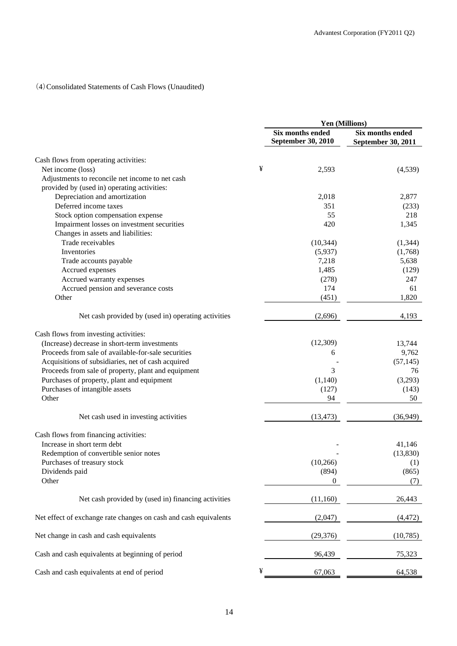## (4)Consolidated Statements of Cash Flows (Unaudited)

|                                                                  |   | Yen (Millions)                         |                                        |  |
|------------------------------------------------------------------|---|----------------------------------------|----------------------------------------|--|
|                                                                  |   | Six months ended<br>September 30, 2010 | Six months ended<br>September 30, 2011 |  |
| Cash flows from operating activities:                            |   |                                        |                                        |  |
| Net income (loss)                                                | ¥ | 2,593                                  | (4,539)                                |  |
| Adjustments to reconcile net income to net cash                  |   |                                        |                                        |  |
| provided by (used in) operating activities:                      |   |                                        |                                        |  |
| Depreciation and amortization                                    |   | 2,018                                  | 2,877                                  |  |
| Deferred income taxes                                            |   | 351                                    | (233)                                  |  |
| Stock option compensation expense                                |   | 55                                     | 218                                    |  |
| Impairment losses on investment securities                       |   | 420                                    | 1,345                                  |  |
| Changes in assets and liabilities:                               |   |                                        |                                        |  |
| Trade receivables                                                |   | (10, 344)                              | (1, 344)                               |  |
| Inventories                                                      |   | (5,937)                                | (1,768)                                |  |
| Trade accounts payable                                           |   | 7,218                                  | 5,638                                  |  |
| Accrued expenses                                                 |   | 1,485                                  | (129)                                  |  |
| Accrued warranty expenses                                        |   | (278)                                  | 247                                    |  |
| Accrued pension and severance costs                              |   | 174                                    | 61                                     |  |
| Other                                                            |   | (451)                                  | 1,820                                  |  |
| Net cash provided by (used in) operating activities              |   | (2,696)                                | 4,193                                  |  |
| Cash flows from investing activities:                            |   |                                        |                                        |  |
| (Increase) decrease in short-term investments                    |   | (12, 309)                              | 13,744                                 |  |
| Proceeds from sale of available-for-sale securities              |   | 6                                      | 9,762                                  |  |
| Acquisitions of subsidiaries, net of cash acquired               |   |                                        | (57, 145)                              |  |
| Proceeds from sale of property, plant and equipment              |   | 3                                      | 76                                     |  |
| Purchases of property, plant and equipment                       |   | (1,140)                                | (3,293)                                |  |
| Purchases of intangible assets                                   |   | (127)                                  | (143)                                  |  |
| Other                                                            |   | 94                                     | 50                                     |  |
| Net cash used in investing activities                            |   | (13, 473)                              | (36,949)                               |  |
| Cash flows from financing activities:                            |   |                                        |                                        |  |
| Increase in short term debt                                      |   |                                        | 41,146                                 |  |
| Redemption of convertible senior notes                           |   |                                        | (13, 830)                              |  |
| Purchases of treasury stock                                      |   | (10, 266)                              | (1)                                    |  |
| Dividends paid                                                   |   | (894)                                  | (865)                                  |  |
| Other                                                            |   | 0                                      | (7)                                    |  |
| Net cash provided by (used in) financing activities              |   | (11, 160)                              | 26,443                                 |  |
| Net effect of exchange rate changes on cash and cash equivalents |   | (2,047)                                | (4, 472)                               |  |
| Net change in cash and cash equivalents                          |   | (29, 376)                              | (10, 785)                              |  |
| Cash and cash equivalents at beginning of period                 |   | 96,439                                 | 75,323                                 |  |
| Cash and cash equivalents at end of period                       | ¥ | 67,063                                 | 64,538                                 |  |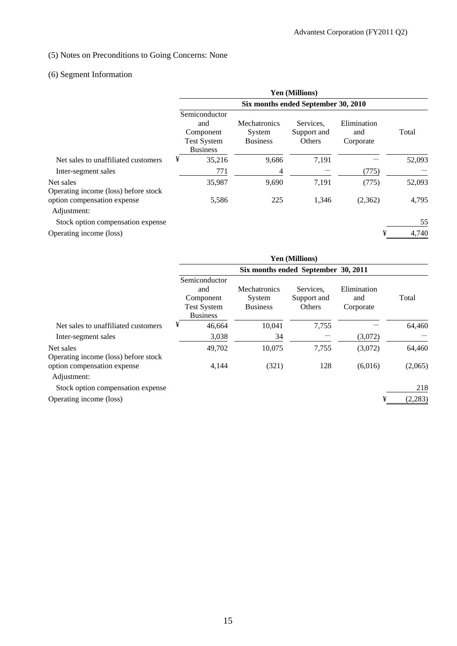## (5) Notes on Preconditions to Going Concerns: None

# (6) Segment Information

|                                                   | <b>Yen (Millions)</b>                                                      |                                                  |                                    |                                 |        |  |  |
|---------------------------------------------------|----------------------------------------------------------------------------|--------------------------------------------------|------------------------------------|---------------------------------|--------|--|--|
|                                                   | Six months ended September 30, 2010                                        |                                                  |                                    |                                 |        |  |  |
|                                                   | Semiconductor<br>and<br>Component<br><b>Test System</b><br><b>Business</b> | <b>Mechatronics</b><br>System<br><b>Business</b> | Services.<br>Support and<br>Others | Elimination<br>and<br>Corporate | Total  |  |  |
| Net sales to unaffiliated customers               | ¥<br>35,216                                                                | 9,686                                            | 7,191                              |                                 | 52,093 |  |  |
| Inter-segment sales                               | 771                                                                        | 4                                                |                                    | (775)                           |        |  |  |
| Net sales<br>Operating income (loss) before stock | 35,987                                                                     | 9,690                                            | 7,191                              | (775)                           | 52,093 |  |  |
| option compensation expense<br>Adjustment:        | 5,586                                                                      | 225                                              | 1,346                              | (2,362)                         | 4,795  |  |  |
| Stock option compensation expense                 |                                                                            |                                                  |                                    |                                 | 55     |  |  |
| Operating income (loss)                           |                                                                            |                                                  |                                    | ¥                               | 4,740  |  |  |

|                                                   | <b>Yen (Millions)</b>                                                      |        |                                                  |                                    |                                 |         |  |
|---------------------------------------------------|----------------------------------------------------------------------------|--------|--------------------------------------------------|------------------------------------|---------------------------------|---------|--|
|                                                   | Six months ended September 30, 2011                                        |        |                                                  |                                    |                                 |         |  |
|                                                   | Semiconductor<br>and<br>Component<br><b>Test System</b><br><b>Business</b> |        | <b>Mechatronics</b><br>System<br><b>Business</b> | Services.<br>Support and<br>Others | Elimination<br>and<br>Corporate | Total   |  |
| Net sales to unaffiliated customers               | ¥                                                                          | 46.664 | 10,041                                           | 7,755                              |                                 | 64,460  |  |
| Inter-segment sales                               |                                                                            | 3,038  | 34                                               |                                    | (3,072)                         |         |  |
| Net sales<br>Operating income (loss) before stock |                                                                            | 49,702 | 10,075                                           | 7,755                              | (3,072)                         | 64,460  |  |
| option compensation expense<br>Adjustment:        |                                                                            | 4,144  | (321)                                            | 128                                | (6,016)                         | (2,065) |  |
| Stock option compensation expense                 |                                                                            |        |                                                  |                                    |                                 | 218     |  |
| Operating income (loss)                           |                                                                            |        |                                                  |                                    | ¥                               | (2,283) |  |